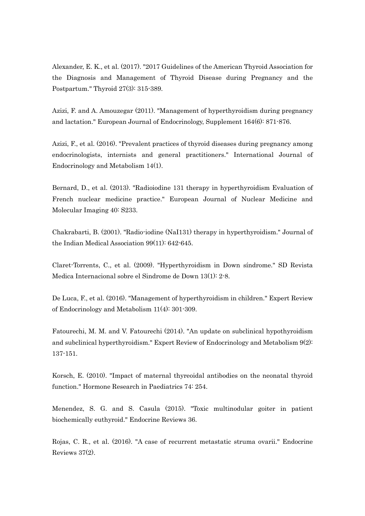Alexander, E. K., et al. (2017). "2017 Guidelines of the American Thyroid Association for the Diagnosis and Management of Thyroid Disease during Pregnancy and the Postpartum." Thyroid 27(3): 315-389.

Azizi, F. and A. Amouzegar (2011). "Management of hyperthyroidism during pregnancy and lactation." European Journal of Endocrinology, Supplement 164(6): 871-876.

Azizi, F., et al. (2016). "Prevalent practices of thyroid diseases during pregnancy among endocrinologists, internists and general practitioners." International Journal of Endocrinology and Metabolism 14(1).

Bernard, D., et al. (2013). "Radioiodine 131 therapy in hyperthyroidism Evaluation of French nuclear medicine practice." European Journal of Nuclear Medicine and Molecular Imaging 40: S233.

Chakrabarti, B. (2001). "Radio-iodine (NaI131) therapy in hyperthyroidism." Journal of the Indian Medical Association 99(11): 642-645.

Claret-Torrents, C., et al. (2009). "Hyperthyroidism in Down síndrome." SD Revista Medica Internacional sobre el Sindrome de Down 13(1): 2-8.

De Luca, F., et al. (2016). "Management of hyperthyroidism in children." Expert Review of Endocrinology and Metabolism 11(4): 301-309.

Fatourechi, M. M. and V. Fatourechi (2014). "An update on subclinical hypothyroidism and subclinical hyperthyroidism." Expert Review of Endocrinology and Metabolism 9(2): 137-151.

Korsch, E. (2010). "Impact of maternal thyreoidal antibodies on the neonatal thyroid function." Hormone Research in Paediatrics 74: 254.

Menendez, S. G. and S. Casula (2015). "Toxic multinodular goiter in patient biochemically euthyroid." Endocrine Reviews 36.

Rojas, C. R., et al. (2016). "A case of recurrent metastatic struma ovarii." Endocrine Reviews 37(2).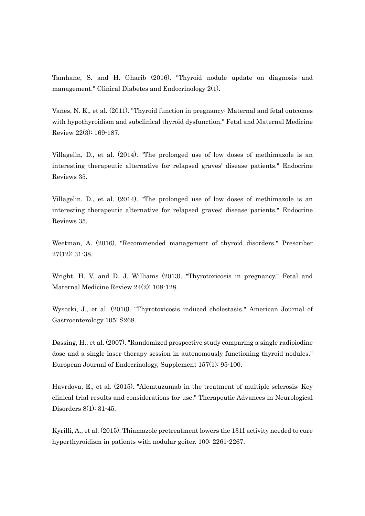Tamhane, S. and H. Gharib (2016). "Thyroid nodule update on diagnosis and management." Clinical Diabetes and Endocrinology 2(1).

Vanes, N. K., et al. (2011). "Thyroid function in pregnancy: Maternal and fetal outcomes with hypothyroidism and subclinical thyroid dysfunction." Fetal and Maternal Medicine Review 22(3): 169-187.

Villagelin, D., et al. (2014). "The prolonged use of low doses of methimazole is an interesting therapeutic alternative for relapsed graves' disease patients." Endocrine Reviews 35.

Villagelin, D., et al. (2014). "The prolonged use of low doses of methimazole is an interesting therapeutic alternative for relapsed graves' disease patients." Endocrine Reviews 35.

Weetman, A. (2016). "Recommended management of thyroid disorders." Prescriber 27(12): 31-38.

Wright, H. V. and D. J. Williams (2013). "Thyrotoxicosis in pregnancy." Fetal and Maternal Medicine Review 24(2): 108-128.

Wysocki, J., et al. (2010). "Thyrotoxicosis induced cholestasis." American Journal of Gastroenterology 105: S268.

Døssing, H., et al. (2007). "Randomized prospective study comparing a single radioiodine dose and a single laser therapy session in autonomously functioning thyroid nodules." European Journal of Endocrinology, Supplement 157(1): 95-100.

Havrdova, E., et al. (2015). "Alemtuzumab in the treatment of multiple sclerosis: Key clinical trial results and considerations for use." Therapeutic Advances in Neurological Disorders 8(1): 31-45.

Kyrilli, A., et al. (2015). Thiamazole pretreatment lowers the 131I activity needed to cure hyperthyroidism in patients with nodular goiter. 100: 2261-2267.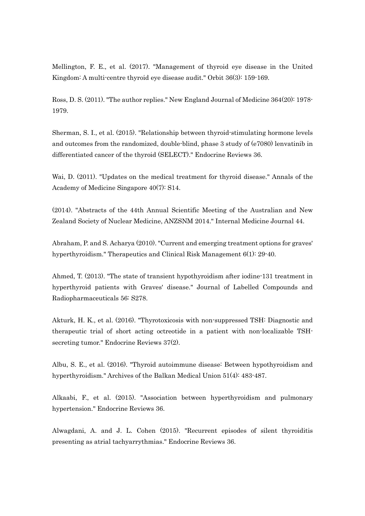Mellington, F. E., et al. (2017). "Management of thyroid eye disease in the United Kingdom: A multi-centre thyroid eye disease audit." Orbit 36(3): 159-169.

Ross, D. S. (2011). "The author replies." New England Journal of Medicine 364(20): 1978- 1979.

Sherman, S. I., et al. (2015). "Relationship between thyroid-stimulating hormone levels and outcomes from the randomized, double-blind, phase 3 study of (e7080) lenvatinib in differentiated cancer of the thyroid (SELECT)." Endocrine Reviews 36.

Wai, D. (2011). "Updates on the medical treatment for thyroid disease." Annals of the Academy of Medicine Singapore 40(7): S14.

(2014). "Abstracts of the 44th Annual Scientific Meeting of the Australian and New Zealand Society of Nuclear Medicine, ANZSNM 2014." Internal Medicine Journal 44.

Abraham, P. and S. Acharya (2010). "Current and emerging treatment options for graves' hyperthyroidism." Therapeutics and Clinical Risk Management 6(1): 29-40.

Ahmed, T. (2013). "The state of transient hypothyroidism after iodine-131 treatment in hyperthyroid patients with Graves' disease." Journal of Labelled Compounds and Radiopharmaceuticals 56: S278.

Akturk, H. K., et al. (2016). "Thyrotoxicosis with non-suppressed TSH: Diagnostic and therapeutic trial of short acting octreotide in a patient with non-localizable TSHsecreting tumor." Endocrine Reviews 37(2).

Albu, S. E., et al. (2016). "Thyroid autoimmune disease: Between hypothyroidism and hyperthyroidism." Archives of the Balkan Medical Union 51(4): 483-487.

Alkaabi, F., et al. (2015). "Association between hyperthyroidism and pulmonary hypertension." Endocrine Reviews 36.

Alwagdani, A. and J. L. Cohen (2015). "Recurrent episodes of silent thyroiditis presenting as atrial tachyarrythmias." Endocrine Reviews 36.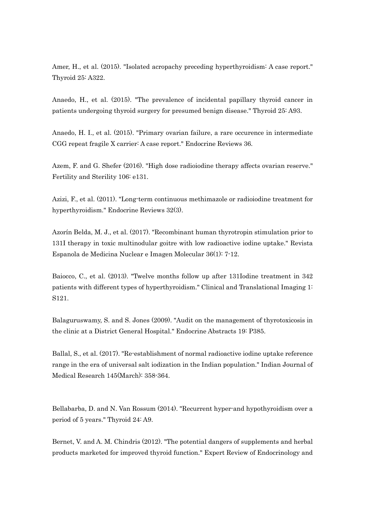Amer, H., et al. (2015). "Isolated acropachy preceding hyperthyroidism: A case report." Thyroid 25: A322.

Anaedo, H., et al. (2015). "The prevalence of incidental papillary thyroid cancer in patients undergoing thyroid surgery for presumed benign disease." Thyroid 25: A93.

Anaedo, H. I., et al. (2015). "Primary ovarian failure, a rare occurence in intermediate CGG repeat fragile X carrier: A case report." Endocrine Reviews 36.

Azem, F. and G. Shefer (2016). "High dose radioiodine therapy affects ovarian reserve." Fertility and Sterility 106: e131.

Azizi, F., et al. (2011). "Long-term continuous methimazole or radioiodine treatment for hyperthyroidism." Endocrine Reviews 32(3).

Azorín Belda, M. J., et al. (2017). "Recombinant human thyrotropin stimulation prior to 131I therapy in toxic multinodular goitre with low radioactive iodine uptake." Revista Espanola de Medicina Nuclear e Imagen Molecular 36(1): 7-12.

Baiocco, C., et al. (2013). "Twelve months follow up after 131Iodine treatment in 342 patients with different types of hyperthyroidism." Clinical and Translational Imaging 1: S121.

Balaguruswamy, S. and S. Jones (2009). "Audit on the management of thyrotoxicosis in the clinic at a District General Hospital." Endocrine Abstracts 19: P385.

Ballal, S., et al. (2017). "Re-establishment of normal radioactive iodine uptake reference range in the era of universal salt iodization in the Indian population." Indian Journal of Medical Research 145(March): 358-364.

Bellabarba, D. and N. Van Rossum (2014). "Recurrent hyper-and hypothyroidism over a period of 5 years." Thyroid 24: A9.

Bernet, V. and A. M. Chindris (2012). "The potential dangers of supplements and herbal products marketed for improved thyroid function." Expert Review of Endocrinology and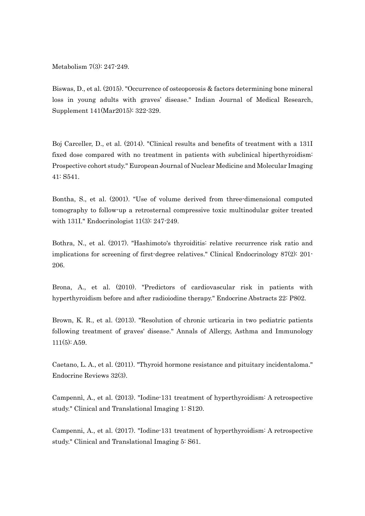Metabolism 7(3): 247-249.

Biswas, D., et al. (2015). "Occurrence of osteoporosis & factors determining bone mineral loss in young adults with graves' disease." Indian Journal of Medical Research, Supplement 141(Mar2015): 322-329.

Boj Carceller, D., et al. (2014). "Clinical results and benefits of treatment with a 131I fixed dose compared with no treatment in patients with subclinical hiperthyroidism: Prospective cohort study." European Journal of Nuclear Medicine and Molecular Imaging 41: S541.

Bontha, S., et al. (2001). "Use of volume derived from three-dimensional computed tomography to follow-up a retrosternal compressive toxic multinodular goiter treated with 131I." Endocrinologist 11(3): 247-249.

Bothra, N., et al. (2017). "Hashimoto's thyroiditis: relative recurrence risk ratio and implications for screening of first-degree relatives." Clinical Endocrinology 87(2): 201- 206.

Brona, A., et al. (2010). "Predictors of cardiovascular risk in patients with hyperthyroidism before and after radioiodine therapy." Endocrine Abstracts 22: P802.

Brown, K. R., et al. (2013). "Resolution of chronic urticaria in two pediatric patients following treatment of graves' disease." Annals of Allergy, Asthma and Immunology  $11(5)$ : A59.

Caetano, L. A., et al. (2011). "Thyroid hormone resistance and pituitary incidentaloma." Endocrine Reviews 32(3).

Campennì, A., et al. (2013). "Iodine-131 treatment of hyperthyroidism: A retrospective study." Clinical and Translational Imaging 1: S120.

Campenni, A., et al. (2017). "Iodine-131 treatment of hyperthyroidism: A retrospective study." Clinical and Translational Imaging 5: S61.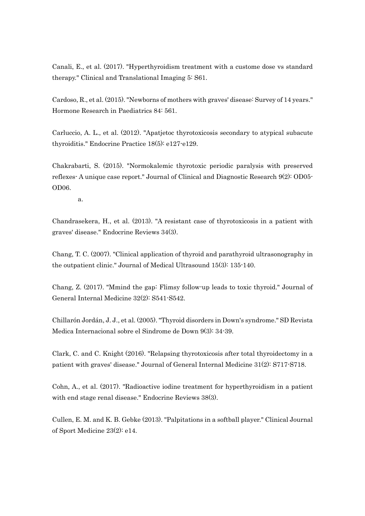Canali, E., et al. (2017). "Hyperthyroidism treatment with a custome dose vs standard therapy." Clinical and Translational Imaging 5: S61.

Cardoso, R., et al. (2015). "Newborns of mothers with graves' disease: Survey of 14 years." Hormone Research in Paediatrics 84: 561.

Carluccio, A. L., et al. (2012). "Apatjetoc thyrotoxicosis secondary to atypical subacute thyroiditis." Endocrine Practice 18(5): e127-e129.

Chakrabarti, S. (2015). "Normokalemic thyrotoxic periodic paralysis with preserved reflexes- A unique case report." Journal of Clinical and Diagnostic Research 9(2): OD05- OD06.

a.

Chandrasekera, H., et al. (2013). "A resistant case of thyrotoxicosis in a patient with graves' disease." Endocrine Reviews 34(3).

Chang, T. C. (2007). "Clinical application of thyroid and parathyroid ultrasonography in the outpatient clinic." Journal of Medical Ultrasound 15(3): 135-140.

Chang, Z. (2017). "Mmind the gap: Flimsy follow-up leads to toxic thyroid." Journal of General Internal Medicine 32(2): S541-S542.

Chillarón Jordán, J. J., et al. (2005). "Thyroid disorders in Down's syndrome." SD Revista Medica Internacional sobre el Sindrome de Down 9(3): 34-39.

Clark, C. and C. Knight (2016). "Relapsing thyrotoxicosis after total thyroidectomy in a patient with graves' disease." Journal of General Internal Medicine 31(2): S717-S718.

Cohn, A., et al. (2017). "Radioactive iodine treatment for hyperthyroidism in a patient with end stage renal disease." Endocrine Reviews 38(3).

Cullen, E. M. and K. B. Gebke (2013). "Palpitations in a softball player." Clinical Journal of Sport Medicine 23(2): e14.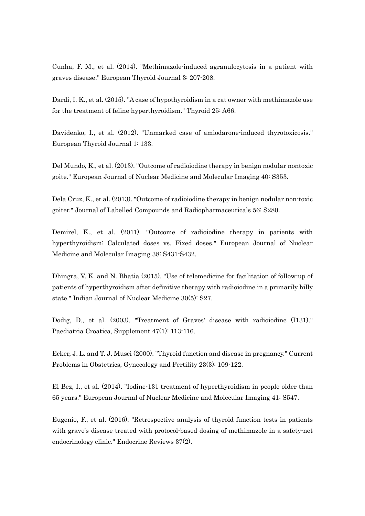Cunha, F. M., et al. (2014). "Methimazole-induced agranulocytosis in a patient with graves disease." European Thyroid Journal 3: 207-208.

Dardi, I. K., et al. (2015). "A case of hypothyroidism in a cat owner with methimazole use for the treatment of feline hyperthyroidism." Thyroid 25: A66.

Davidenko, I., et al. (2012). "Unmarked case of amiodarone-induced thyrotoxicosis." European Thyroid Journal 1: 133.

Del Mundo, K., et al. (2013). "Outcome of radioiodine therapy in benign nodular nontoxic goite." European Journal of Nuclear Medicine and Molecular Imaging 40: S353.

Dela Cruz, K., et al. (2013). "Outcome of radioiodine therapy in benign nodular non-toxic goiter." Journal of Labelled Compounds and Radiopharmaceuticals 56: S280.

Demirel, K., et al. (2011). "Outcome of radioiodine therapy in patients with hyperthyroidism: Calculated doses vs. Fixed doses." European Journal of Nuclear Medicine and Molecular Imaging 38: S431-S432.

Dhingra, V. K. and N. Bhatia (2015). "Use of telemedicine for facilitation of follow-up of patients of hyperthyroidism after definitive therapy with radioiodine in a primarily hilly state." Indian Journal of Nuclear Medicine 30(5): S27.

Dodig, D., et al. (2003). "Treatment of Graves' disease with radioiodine (I131)." Paediatria Croatica, Supplement 47(1): 113-116.

Ecker, J. L. and T. J. Musci (2000). "Thyroid function and disease in pregnancy." Current Problems in Obstetrics, Gynecology and Fertility 23(3): 109-122.

El Bez, I., et al. (2014). "Iodine-131 treatment of hyperthyroidism in people older than 65 years." European Journal of Nuclear Medicine and Molecular Imaging 41: S547.

Eugenio, F., et al. (2016). "Retrospective analysis of thyroid function tests in patients with grave's disease treated with protocol-based dosing of methimazole in a safety-net endocrinology clinic." Endocrine Reviews 37(2).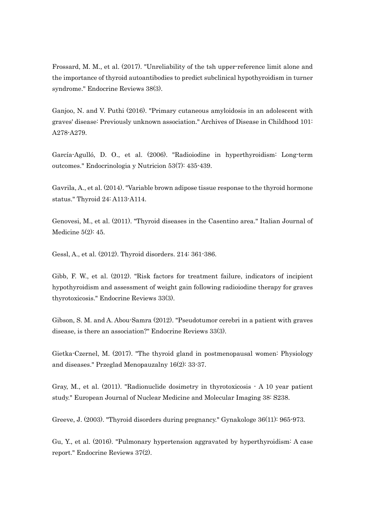Frossard, M. M., et al. (2017). "Unreliability of the tsh upper-reference limit alone and the importance of thyroid autoantibodies to predict subclinical hypothyroidism in turner syndrome." Endocrine Reviews 38(3).

Ganjoo, N. and V. Puthi (2016). "Primary cutaneous amyloidosis in an adolescent with graves' disease: Previously unknown association." Archives of Disease in Childhood 101: A278-A279.

García-Agulló, D. O., et al. (2006). "Radioiodine in hyperthyroidism: Long-term outcomes." Endocrinologia y Nutricion 53(7): 435-439.

Gavrila, A., et al. (2014). "Variable brown adipose tissue response to the thyroid hormone status." Thyroid 24: A113-A114.

Genovesi, M., et al. (2011). "Thyroid diseases in the Casentino area." Italian Journal of Medicine 5(2): 45.

Gessl, A., et al. (2012). Thyroid disorders. 214: 361-386.

Gibb, F. W., et al. (2012). "Risk factors for treatment failure, indicators of incipient hypothyroidism and assessment of weight gain following radioiodine therapy for graves thyrotoxicosis." Endocrine Reviews 33(3).

Gibson, S. M. and A. Abou-Samra (2012). "Pseudotumor cerebri in a patient with graves disease, is there an association?" Endocrine Reviews 33(3).

Gietka-Czernel, M. (2017). "The thyroid gland in postmenopausal women: Physiology and diseases." Przeglad Menopauzalny 16(2): 33-37.

Gray, M., et al. (2011). "Radionuclide dosimetry in thyrotoxicosis - A 10 year patient study." European Journal of Nuclear Medicine and Molecular Imaging 38: S238.

Greeve, J. (2003). "Thyroid disorders during pregnancy." Gynakologe 36(11): 965-973.

Gu, Y., et al. (2016). "Pulmonary hypertension aggravated by hyperthyroidism: A case report." Endocrine Reviews 37(2).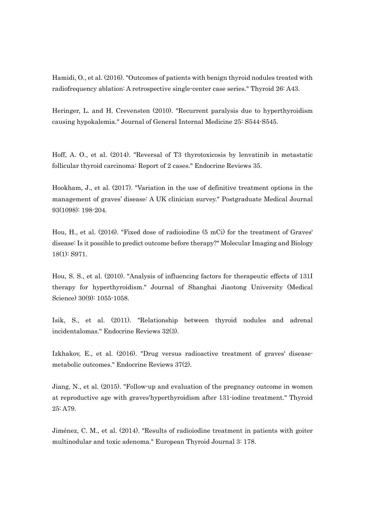Hamidi, O., et al. (2016). "Outcomes of patients with benign thyroid nodules treated with radiofrequency ablation: A retrospective single-center case series." Thyroid 26: A43.

Heringer, L. and H. Crevensten (2010). "Recurrent paralysis due to hyperthyroidism causing hypokalemia." Journal of General Internal Medicine 25: S544-S545.

Hoff, A. O., et al. (2014). "Reversal of T3 thyrotoxicosis by lenvatinib in metastatic follicular thyroid carcinoma: Report of 2 cases." Endocrine Reviews 35.

Hookham, J., et al. (2017). "Variation in the use of definitive treatment options in the management of graves' disease: A UK clinician survey." Postgraduate Medical Journal 93(1098): 198-204.

Hou, H., et al. (2016). "Fixed dose of radioiodine (5 mCi) for the treatment of Graves' disease: Is it possible to predict outcome before therapy?" Molecular Imaging and Biology 18(1): S971.

Hou, S. S., et al. (2010). "Analysis of influencing factors for therapeutic effects of 131I therapy for hyperthyroidism." Journal of Shanghai Jiaotong University (Medical Science) 30(9): 1055-1058.

Isik, S., et al. (2011). "Relationship between thyroid nodules and adrenal incidentalomas." Endocrine Reviews 32(3).

Izkhakov, E., et al. (2016). "Drug versus radioactive treatment of graves' diseasemetabolic outcomes." Endocrine Reviews 37(2).

Jiang, N., et al. (2015). "Follow-up and evaluation of the pregnancy outcome in women at reproductive age with graves'hyperthyroidism after 131-iodine treatment." Thyroid 25: A79.

Jiménez, C. M., et al. (2014). "Results of radioiodine treatment in patients with goiter multinodular and toxic adenoma." European Thyroid Journal 3: 178.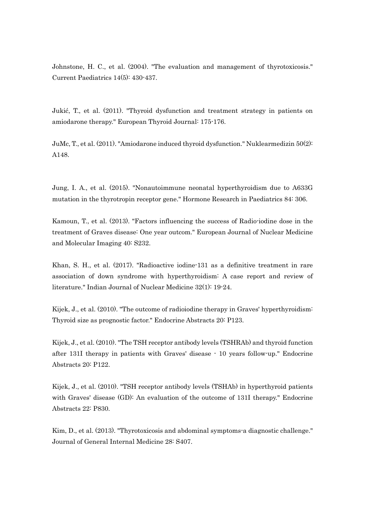Johnstone, H. C., et al. (2004). "The evaluation and management of thyrotoxicosis." Current Paediatrics 14(5): 430-437.

Jukić, T., et al. (2011). "Thyroid dysfunction and treatment strategy in patients on amiodarone therapy." European Thyroid Journal: 175-176.

JuMc, T., et al. (2011). "Amiodarone induced thyroid dysfunction." Nuklearmedizin 50(2): A148.

Jung, I. A., et al. (2015). "Nonautoimmune neonatal hyperthyroidism due to A633G mutation in the thyrotropin receptor gene." Hormone Research in Paediatrics 84: 306.

Kamoun, T., et al. (2013). "Factors influencing the success of Radio-iodine dose in the treatment of Graves disease: One year outcom." European Journal of Nuclear Medicine and Molecular Imaging 40: S232.

Khan, S. H., et al. (2017). "Radioactive iodine-131 as a definitive treatment in rare association of down syndrome with hyperthyroidism: A case report and review of literature." Indian Journal of Nuclear Medicine 32(1): 19-24.

Kijek, J., et al. (2010). "The outcome of radioiodine therapy in Graves' hyperthyroidism: Thyroid size as prognostic factor." Endocrine Abstracts 20: P123.

Kijek, J., et al. (2010). "The TSH receptor antibody levels (TSHRAb) and thyroid function after 131I therapy in patients with Graves' disease - 10 years follow-up." Endocrine Abstracts 20: P122.

Kijek, J., et al. (2010). "TSH receptor antibody levels (TSHAb) in hyperthyroid patients with Graves' disease (GD): An evaluation of the outcome of 131I therapy." Endocrine Abstracts 22: P830.

Kim, D., et al. (2013). "Thyrotoxicosis and abdominal symptoms-a diagnostic challenge." Journal of General Internal Medicine 28: S407.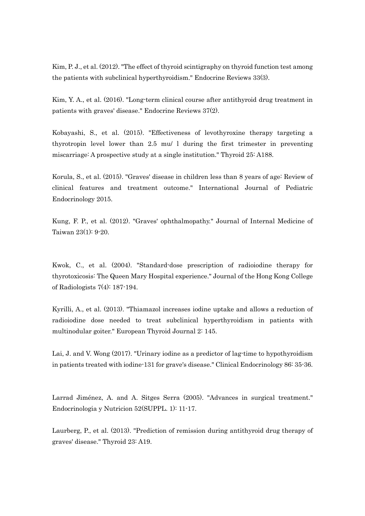Kim, P. J., et al. (2012). "The effect of thyroid scintigraphy on thyroid function test among the patients with subclinical hyperthyroidism." Endocrine Reviews 33(3).

Kim, Y. A., et al. (2016). "Long-term clinical course after antithyroid drug treatment in patients with graves' disease." Endocrine Reviews 37(2).

Kobayashi, S., et al. (2015). "Effectiveness of levothyroxine therapy targeting a thyrotropin level lower than 2.5 mu/ l during the first trimester in preventing miscarriage: A prospective study at a single institution." Thyroid 25: A188.

Korula, S., et al. (2015). "Graves' disease in children less than 8 years of age: Review of clinical features and treatment outcome." International Journal of Pediatric Endocrinology 2015.

Kung, F. P., et al. (2012). "Graves' ophthalmopathy." Journal of Internal Medicine of Taiwan 23(1): 9-20.

Kwok, C., et al. (2004). "Standard-dose prescription of radioiodine therapy for thyrotoxicosis: The Queen Mary Hospital experience." Journal of the Hong Kong College of Radiologists 7(4): 187-194.

Kyrilli, A., et al. (2013). "Thiamazol increases iodine uptake and allows a reduction of radioiodine dose needed to treat subclinical hyperthyroidism in patients with multinodular goiter." European Thyroid Journal 2: 145.

Lai, J. and V. Wong (2017). "Urinary iodine as a predictor of lag-time to hypothyroidism in patients treated with iodine-131 for grave's disease." Clinical Endocrinology 86: 35-36.

Larrad Jiménez, A. and A. Sitges Serra (2005). "Advances in surgical treatment." Endocrinologia y Nutricion 52(SUPPL. 1): 11-17.

Laurberg, P., et al. (2013). "Prediction of remission during antithyroid drug therapy of graves' disease." Thyroid 23: A19.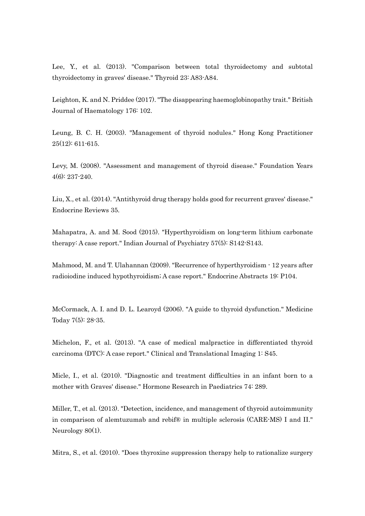Lee, Y., et al. (2013). "Comparison between total thyroidectomy and subtotal thyroidectomy in graves' disease." Thyroid 23: A83-A84.

Leighton, K. and N. Priddee (2017). "The disappearing haemoglobinopathy trait." British Journal of Haematology 176: 102.

Leung, B. C. H. (2003). "Management of thyroid nodules." Hong Kong Practitioner 25(12): 611-615.

Levy, M. (2008). "Assessment and management of thyroid disease." Foundation Years 4(6): 237-240.

Liu, X., et al. (2014). "Antithyroid drug therapy holds good for recurrent graves' disease." Endocrine Reviews 35.

Mahapatra, A. and M. Sood (2015). "Hyperthyroidism on long-term lithium carbonate therapy: A case report." Indian Journal of Psychiatry 57(5): S142-S143.

Mahmood, M. and T. Ulahannan (2009). "Recurrence of hyperthyroidism - 12 years after radioiodine induced hypothyroidism; A case report." Endocrine Abstracts 19: P104.

McCormack, A. I. and D. L. Learoyd (2006). "A guide to thyroid dysfunction." Medicine Today 7(5): 28-35.

Michelon, F., et al. (2013). "A case of medical malpractice in differentiated thyroid carcinoma (DTC): A case report." Clinical and Translational Imaging 1: S45.

Micle, I., et al. (2010). "Diagnostic and treatment difficulties in an infant born to a mother with Graves' disease." Hormone Research in Paediatrics 74: 289.

Miller, T., et al. (2013). "Detection, incidence, and management of thyroid autoimmunity in comparison of alemtuzumab and rebif® in multiple sclerosis (CARE-MS) I and II." Neurology 80(1).

Mitra, S., et al. (2010). "Does thyroxine suppression therapy help to rationalize surgery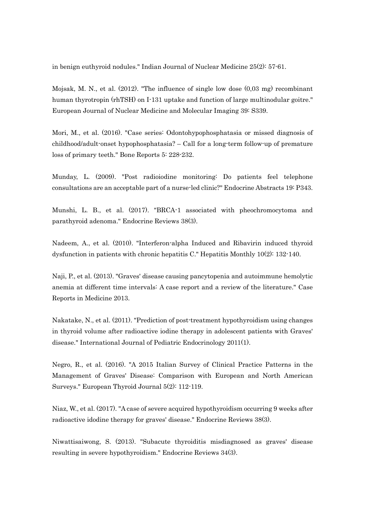in benign euthyroid nodules." Indian Journal of Nuclear Medicine 25(2): 57-61.

Mojsak, M. N., et al. (2012). "The influence of single low dose (0,03 mg) recombinant human thyrotropin (rhTSH) on I-131 uptake and function of large multinodular goitre." European Journal of Nuclear Medicine and Molecular Imaging 39: S339.

Mori, M., et al. (2016). "Case series: Odontohypophosphatasia or missed diagnosis of childhood/adult-onset hypophosphatasia? – Call for a long-term follow-up of premature loss of primary teeth." Bone Reports 5: 228-232.

Munday, L. (2009). "Post radioiodine monitoring: Do patients feel telephone consultations are an acceptable part of a nurse-led clinic?" Endocrine Abstracts 19: P343.

Munshi, L. B., et al. (2017). "BRCA-1 associated with pheochromocytoma and parathyroid adenoma." Endocrine Reviews 38(3).

Nadeem, A., et al. (2010). "Interferon-alpha Induced and Ribavirin induced thyroid dysfunction in patients with chronic hepatitis C." Hepatitis Monthly 10(2): 132-140.

Naji, P., et al. (2013). "Graves' disease causing pancytopenia and autoimmune hemolytic anemia at different time intervals: A case report and a review of the literature." Case Reports in Medicine 2013.

Nakatake, N., et al. (2011). "Prediction of post-treatment hypothyroidism using changes in thyroid volume after radioactive iodine therapy in adolescent patients with Graves' disease." International Journal of Pediatric Endocrinology 2011(1).

Negro, R., et al. (2016). "A 2015 Italian Survey of Clinical Practice Patterns in the Management of Graves' Disease: Comparison with European and North American Surveys." European Thyroid Journal 5(2): 112-119.

Niaz, W., et al. (2017). "A case of severe acquired hypothyroidism occurring 9 weeks after radioactive idodine therapy for graves' disease." Endocrine Reviews 38(3).

Niwattisaiwong, S. (2013). "Subacute thyroiditis misdiagnosed as graves' disease resulting in severe hypothyroidism." Endocrine Reviews 34(3).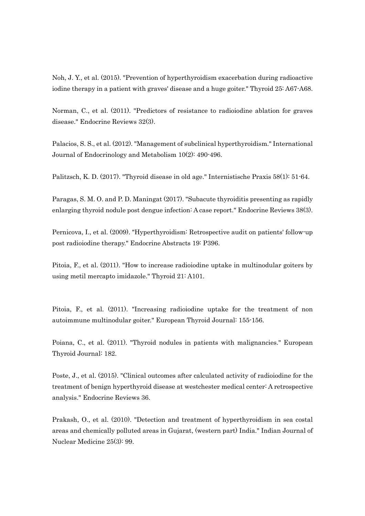Noh, J. Y., et al. (2015). "Prevention of hyperthyroidism exacerbation during radioactive iodine therapy in a patient with graves' disease and a huge goiter." Thyroid 25: A67-A68.

Norman, C., et al. (2011). "Predictors of resistance to radioiodine ablation for graves disease." Endocrine Reviews 32(3).

Palacios, S. S., et al. (2012). "Management of subclinical hyperthyroidism." International Journal of Endocrinology and Metabolism 10(2): 490-496.

Palitzsch, K. D. (2017). "Thyroid disease in old age." Internistische Praxis 58(1): 51-64.

Paragas, S. M. O. and P. D. Maningat (2017). "Subacute thyroiditis presenting as rapidly enlarging thyroid nodule post dengue infection: A case report." Endocrine Reviews 38(3).

Pernicova, I., et al. (2009). "Hyperthyroidism: Retrospective audit on patients' follow-up post radioiodine therapy." Endocrine Abstracts 19: P396.

Pitoia, F., et al. (2011). "How to increase radioiodine uptake in multinodular goiters by using metil mercapto imidazole." Thyroid 21: A101.

Pitoia, F., et al. (2011). "Increasing radioiodine uptake for the treatment of non autoimmune multinodular goiter." European Thyroid Journal: 155-156.

Poiana, C., et al. (2011). "Thyroid nodules in patients with malignancies." European Thyroid Journal: 182.

Poste, J., et al. (2015). "Clinical outcomes after calculated activity of radioiodine for the treatment of benign hyperthyroid disease at westchester medical center: A retrospective analysis." Endocrine Reviews 36.

Prakash, O., et al. (2010). "Detection and treatment of hyperthyroidism in sea costal areas and chemically polluted areas in Gujarat, (western part) India." Indian Journal of Nuclear Medicine 25(3): 99.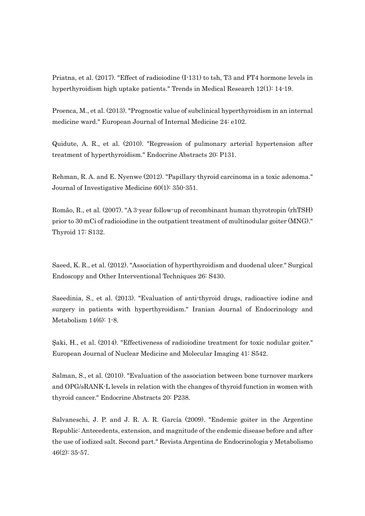Priatna, et al. (2017). "Effect of radioiodine (I-131) to tsh, T3 and FT4 hormone levels in hyperthyroidism high uptake patients." Trends in Medical Research 12(1): 14-19.

Proenca, M., et al. (2013). "Prognostic value of subclinical hyperthyroidism in an internal medicine ward." European Journal of Internal Medicine 24: e102.

Quidute, A. R., et al. (2010). "Regression of pulmonary arterial hypertension after treatment of hyperthyroidism." Endocrine Abstracts 20: P131.

Rehman, R. A. and E. Nyenwe (2012). "Papillary thyroid carcinoma in a toxic adenoma." Journal of Investigative Medicine 60(1): 350-351.

Romão, R., et al. (2007). "A 3-year follow-up of recombinant human thyrotropin (rhTSH) prior to 30 mCi of radioiodine in the outpatient treatment of multinodular goiter (MNG)." Thyroid 17: S132.

Saeed, K. R., et al. (2012). "Association of hyperthyroidism and duodenal ulcer." Surgical Endoscopy and Other Interventional Techniques 26: S430.

Saeedinia, S., et al. (2013). "Evaluation of anti-thyroid drugs, radioactive iodine and surgery in patients with hyperthyroidism." Iranian Journal of Endocrinology and Metabolism 14(6): 1-8.

Şaki, H., et al. (2014). "Effectiveness of radioiodine treatment for toxic nodular goiter." European Journal of Nuclear Medicine and Molecular Imaging 41: S542.

Salman, S., et al. (2010). "Evaluation of the association between bone turnover markers and OPG/sRANK-L levels in relation with the changes of thyroid function in women with thyroid cancer." Endocrine Abstracts 20: P238.

Salvaneschi, J. P. and J. R. A. R. García (2009). "Endemic goiter in the Argentine Republic: Antecedents, extension, and magnitude of the endemic disease before and after the use of iodized salt. Second part." Revista Argentina de Endocrinologia y Metabolismo 46(2): 35-57.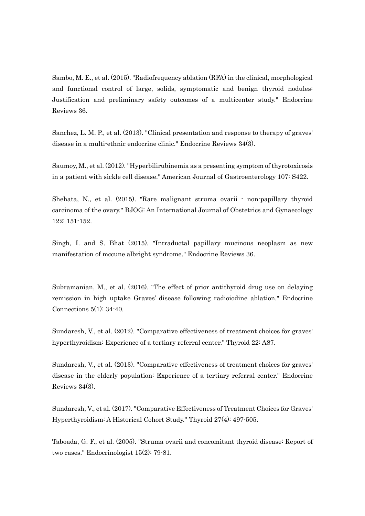Sambo, M. E., et al. (2015). "Radiofrequency ablation (RFA) in the clinical, morphological and functional control of large, solids, symptomatic and benign thyroid nodules: Justification and preliminary safety outcomes of a multicenter study." Endocrine Reviews 36.

Sanchez, L. M. P., et al. (2013). "Clinical presentation and response to therapy of graves' disease in a multi-ethnic endocrine clinic." Endocrine Reviews 34(3).

Saumoy, M., et al. (2012). "Hyperbilirubinemia as a presenting symptom of thyrotoxicosis in a patient with sickle cell disease." American Journal of Gastroenterology 107: S422.

Shehata, N., et al. (2015). "Rare malignant struma ovarii - non-papillary thyroid carcinoma of the ovary." BJOG: An International Journal of Obstetrics and Gynaecology 122: 151-152.

Singh, I. and S. Bhat (2015). "Intraductal papillary mucinous neoplasm as new manifestation of mccune albright syndrome." Endocrine Reviews 36.

Subramanian, M., et al. (2016). "The effect of prior antithyroid drug use on delaying remission in high uptake Graves' disease following radioiodine ablation." Endocrine Connections 5(1): 34-40.

Sundaresh, V., et al. (2012). "Comparative effectiveness of treatment choices for graves' hyperthyroidism: Experience of a tertiary referral center." Thyroid 22: A87.

Sundaresh, V., et al. (2013). "Comparative effectiveness of treatment choices for graves' disease in the elderly population: Experience of a tertiary referral center." Endocrine Reviews 34(3).

Sundaresh, V., et al. (2017). "Comparative Effectiveness of Treatment Choices for Graves' Hyperthyroidism: A Historical Cohort Study." Thyroid 27(4): 497-505.

Taboada, G. F., et al. (2005). "Struma ovarii and concomitant thyroid disease: Report of two cases." Endocrinologist 15(2): 79-81.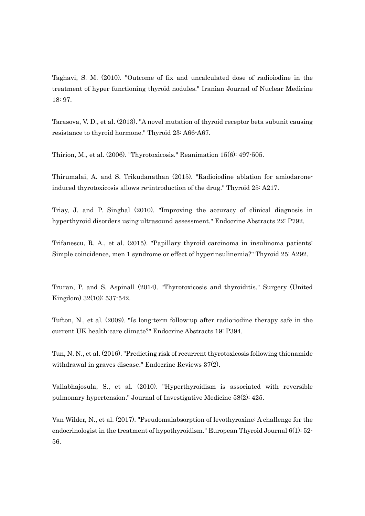Taghavi, S. M. (2010). "Outcome of fix and uncalculated dose of radioiodine in the treatment of hyper functioning thyroid nodules." Iranian Journal of Nuclear Medicine 18: 97.

Tarasova, V. D., et al. (2013). "A novel mutation of thyroid receptor beta subunit causing resistance to thyroid hormone." Thyroid 23: A66-A67.

Thirion, M., et al. (2006). "Thyrotoxicosis." Reanimation 15(6): 497-505.

Thirumalai, A. and S. Trikudanathan (2015). "Radioiodine ablation for amiodaroneinduced thyrotoxicosis allows re-introduction of the drug." Thyroid 25: A217.

Triay, J. and P. Singhal (2010). "Improving the accuracy of clinical diagnosis in hyperthyroid disorders using ultrasound assessment." Endocrine Abstracts 22: P792.

Trifanescu, R. A., et al. (2015). "Papillary thyroid carcinoma in insulinoma patients: Simple coincidence, men 1 syndrome or effect of hyperinsulinemia?" Thyroid 25: A292.

Truran, P. and S. Aspinall (2014). "Thyrotoxicosis and thyroiditis." Surgery (United Kingdom) 32(10): 537-542.

Tufton, N., et al. (2009). "Is long-term follow-up after radio-iodine therapy safe in the current UK health-care climate?" Endocrine Abstracts 19: P394.

Tun, N. N., et al. (2016). "Predicting risk of recurrent thyrotoxicosis following thionamide withdrawal in graves disease." Endocrine Reviews 37(2).

Vallabhajosula, S., et al. (2010). "Hyperthyroidism is associated with reversible pulmonary hypertension." Journal of Investigative Medicine 58(2): 425.

Van Wilder, N., et al. (2017). "Pseudomalabsorption of levothyroxine: A challenge for the endocrinologist in the treatment of hypothyroidism." European Thyroid Journal  $6(1)$ :  $52$ -56.